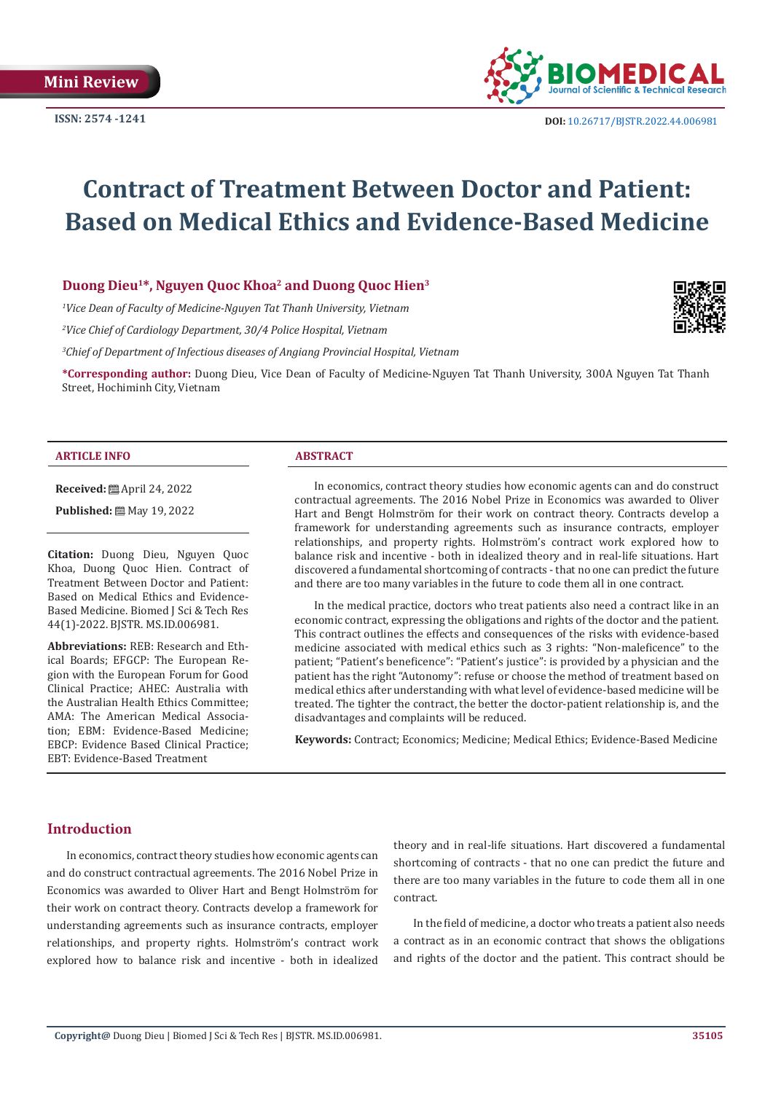

# **Contract of Treatment Between Doctor and Patient: Based on Medical Ethics and Evidence-Based Medicine**

# **Duong Dieu1\*, Nguyen Quoc Khoa2 and Duong Quoc Hien3**

*1 Vice Dean of Faculty of Medicine-Nguyen Tat Thanh University, Vietnam*

*2 Vice Chief of Cardiology Department, 30/4 Police Hospital, Vietnam*

<sup>3</sup>Chief of Department of Infectious diseases of Angiang Provincial Hospital, Vietnam

**\*Corresponding author:** Duong Dieu, Vice Dean of Faculty of Medicine-Nguyen Tat Thanh University, 300A Nguyen Tat Thanh Street, Hochiminh City, Vietnam

#### **ARTICLE INFO ABSTRACT**

**Received:** April 24, 2022

**Published:** 圖 May 19, 2022

**Citation:** Duong Dieu, Nguyen Quoc Khoa, Duong Quoc Hien. Contract of Treatment Between Doctor and Patient: Based on Medical Ethics and Evidence-Based Medicine. Biomed J Sci & Tech Res 44(1)-2022. BJSTR. MS.ID.006981.

**Abbreviations:** REB: Research and Ethical Boards; EFGCP: The European Region with the European Forum for Good Clinical Practice; AHEC: Australia with the Australian Health Ethics Committee; AMA: The American Medical Association; EBM: Evidence-Based Medicine; EBCP: Evidence Based Clinical Practice; EBT: Evidence-Based Treatment

In economics, contract theory studies how economic agents can and do construct contractual agreements. The 2016 Nobel Prize in Economics was awarded to Oliver Hart and Bengt Holmström for their work on contract theory. Contracts develop a framework for understanding agreements such as insurance contracts, employer relationships, and property rights. Holmström's contract work explored how to balance risk and incentive - both in idealized theory and in real-life situations. Hart discovered a fundamental shortcoming of contracts - that no one can predict the future and there are too many variables in the future to code them all in one contract.

In the medical practice, doctors who treat patients also need a contract like in an economic contract, expressing the obligations and rights of the doctor and the patient. This contract outlines the effects and consequences of the risks with evidence-based medicine associated with medical ethics such as 3 rights: "Non-maleficence" to the patient; "Patient's beneficence": "Patient's justice": is provided by a physician and the patient has the right "Autonomy": refuse or choose the method of treatment based on medical ethics after understanding with what level of evidence-based medicine will be treated. The tighter the contract, the better the doctor-patient relationship is, and the disadvantages and complaints will be reduced.

**Keywords:** Contract; Economics; Medicine; Medical Ethics; Evidence-Based Medicine

# **Introduction**

In economics, contract theory studies how economic agents can and do construct contractual agreements. The 2016 Nobel Prize in Economics was awarded to Oliver Hart and Bengt Holmström for their work on contract theory. Contracts develop a framework for understanding agreements such as insurance contracts, employer relationships, and property rights. Holmström's contract work explored how to balance risk and incentive - both in idealized

theory and in real-life situations. Hart discovered a fundamental shortcoming of contracts - that no one can predict the future and there are too many variables in the future to code them all in one contract.

In the field of medicine, a doctor who treats a patient also needs a contract as in an economic contract that shows the obligations and rights of the doctor and the patient. This contract should be

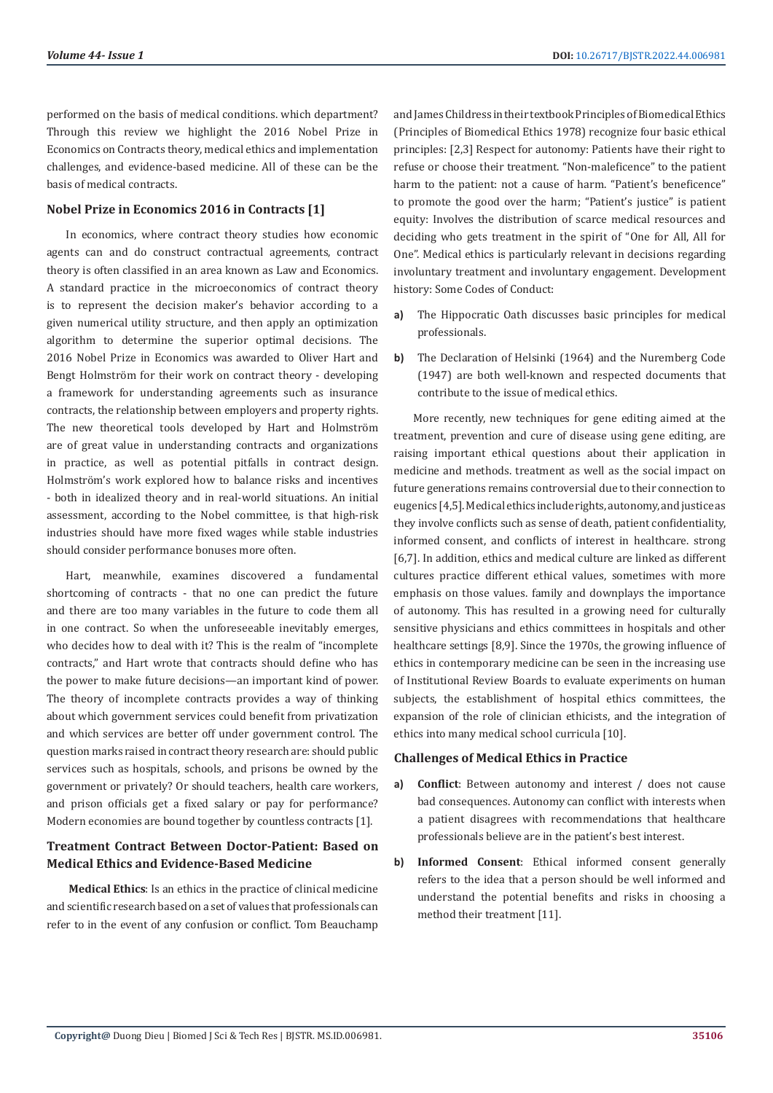performed on the basis of medical conditions. which department? Through this review we highlight the 2016 Nobel Prize in Economics on Contracts theory, medical ethics and implementation challenges, and evidence-based medicine. All of these can be the basis of medical contracts.

### **Nobel Prize in Economics 2016 in Contracts [1]**

In economics, where contract theory studies how economic agents can and do construct contractual agreements, contract theory is often classified in an area known as Law and Economics. A standard practice in the microeconomics of contract theory is to represent the decision maker's behavior according to a given numerical utility structure, and then apply an optimization algorithm to determine the superior optimal decisions. The 2016 Nobel Prize in Economics was awarded to Oliver Hart and Bengt Holmström for their work on contract theory - developing a framework for understanding agreements such as insurance contracts, the relationship between employers and property rights. The new theoretical tools developed by Hart and Holmström are of great value in understanding contracts and organizations in practice, as well as potential pitfalls in contract design. Holmström's work explored how to balance risks and incentives - both in idealized theory and in real-world situations. An initial assessment, according to the Nobel committee, is that high-risk industries should have more fixed wages while stable industries should consider performance bonuses more often.

Hart, meanwhile, examines discovered a fundamental shortcoming of contracts - that no one can predict the future and there are too many variables in the future to code them all in one contract. So when the unforeseeable inevitably emerges, who decides how to deal with it? This is the realm of "incomplete contracts," and Hart wrote that contracts should define who has the power to make future decisions—an important kind of power. The theory of incomplete contracts provides a way of thinking about which government services could benefit from privatization and which services are better off under government control. The question marks raised in contract theory research are: should public services such as hospitals, schools, and prisons be owned by the government or privately? Or should teachers, health care workers, and prison officials get a fixed salary or pay for performance? Modern economies are bound together by countless contracts [1].

# **Treatment Contract Between Doctor-Patient: Based on Medical Ethics and Evidence-Based Medicine**

**Medical Ethics**: Is an ethics in the practice of clinical medicine and scientific research based on a set of values that professionals can refer to in the event of any confusion or conflict. Tom Beauchamp

and James Childress in their textbook Principles of Biomedical Ethics (Principles of Biomedical Ethics 1978) recognize four basic ethical principles: [2,3] Respect for autonomy: Patients have their right to refuse or choose their treatment. "Non-maleficence" to the patient harm to the patient: not a cause of harm. "Patient's beneficence" to promote the good over the harm; "Patient's justice" is patient equity: Involves the distribution of scarce medical resources and deciding who gets treatment in the spirit of "One for All, All for One". Medical ethics is particularly relevant in decisions regarding involuntary treatment and involuntary engagement. Development history: Some Codes of Conduct:

- **a)** The Hippocratic Oath discusses basic principles for medical professionals.
- **b)** The Declaration of Helsinki (1964) and the Nuremberg Code (1947) are both well-known and respected documents that contribute to the issue of medical ethics.

More recently, new techniques for gene editing aimed at the treatment, prevention and cure of disease using gene editing, are raising important ethical questions about their application in medicine and methods. treatment as well as the social impact on future generations remains controversial due to their connection to eugenics [4,5]. Medical ethics include rights, autonomy, and justice as they involve conflicts such as sense of death, patient confidentiality, informed consent, and conflicts of interest in healthcare. strong [6,7]. In addition, ethics and medical culture are linked as different cultures practice different ethical values, sometimes with more emphasis on those values. family and downplays the importance of autonomy. This has resulted in a growing need for culturally sensitive physicians and ethics committees in hospitals and other healthcare settings [8,9]. Since the 1970s, the growing influence of ethics in contemporary medicine can be seen in the increasing use of Institutional Review Boards to evaluate experiments on human subjects, the establishment of hospital ethics committees, the expansion of the role of clinician ethicists, and the integration of ethics into many medical school curricula [10].

### **Challenges of Medical Ethics in Practice**

- **a) Conflict**: Between autonomy and interest / does not cause bad consequences. Autonomy can conflict with interests when a patient disagrees with recommendations that healthcare professionals believe are in the patient's best interest.
- **b) Informed Consent**: Ethical informed consent generally refers to the idea that a person should be well informed and understand the potential benefits and risks in choosing a method their treatment [11].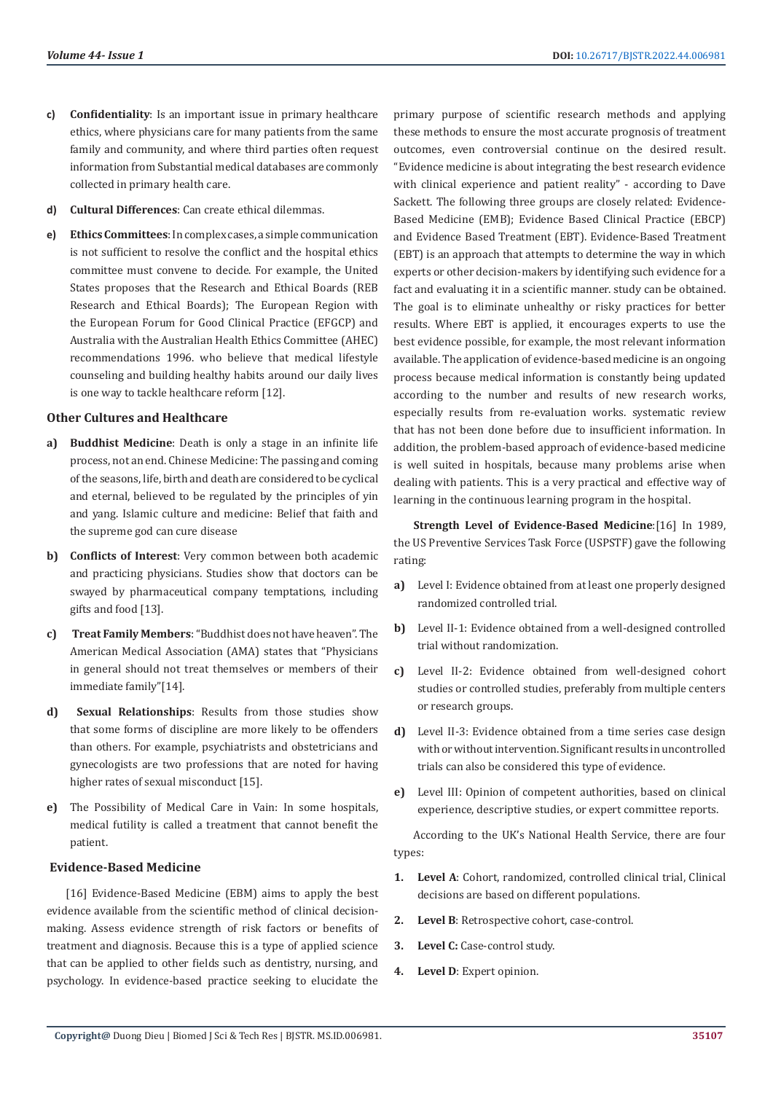- **c) Confidentiality**: Is an important issue in primary healthcare ethics, where physicians care for many patients from the same family and community, and where third parties often request information from Substantial medical databases are commonly collected in primary health care.
- **d) Cultural Differences**: Can create ethical dilemmas.
- **e) Ethics Committees**: In complex cases, a simple communication is not sufficient to resolve the conflict and the hospital ethics committee must convene to decide. For example, the United States proposes that the Research and Ethical Boards (REB Research and Ethical Boards); The European Region with the European Forum for Good Clinical Practice (EFGCP) and Australia with the Australian Health Ethics Committee (AHEC) recommendations 1996. who believe that medical lifestyle counseling and building healthy habits around our daily lives is one way to tackle healthcare reform [12].

#### **Other Cultures and Healthcare**

- **a) Buddhist Medicine**: Death is only a stage in an infinite life process, not an end. Chinese Medicine: The passing and coming of the seasons, life, birth and death are considered to be cyclical and eternal, believed to be regulated by the principles of yin and yang. Islamic culture and medicine: Belief that faith and the supreme god can cure disease
- **b) Conflicts of Interest**: Very common between both academic and practicing physicians. Studies show that doctors can be swayed by pharmaceutical company temptations, including gifts and food [13].
- **c) Treat Family Members**: "Buddhist does not have heaven". The American Medical Association (AMA) states that "Physicians in general should not treat themselves or members of their immediate family"[14].
- **d) Sexual Relationships**: Results from those studies show that some forms of discipline are more likely to be offenders than others. For example, psychiatrists and obstetricians and gynecologists are two professions that are noted for having higher rates of sexual misconduct [15].
- **e)** The Possibility of Medical Care in Vain: In some hospitals, medical futility is called a treatment that cannot benefit the patient.

#### **Evidence-Based Medicine**

[16] Evidence-Based Medicine (EBM) aims to apply the best evidence available from the scientific method of clinical decisionmaking. Assess evidence strength of risk factors or benefits of treatment and diagnosis. Because this is a type of applied science that can be applied to other fields such as dentistry, nursing, and psychology. In evidence-based practice seeking to elucidate the

primary purpose of scientific research methods and applying these methods to ensure the most accurate prognosis of treatment outcomes, even controversial continue on the desired result. "Evidence medicine is about integrating the best research evidence with clinical experience and patient reality" - according to Dave Sackett. The following three groups are closely related: Evidence-Based Medicine (EMB); Evidence Based Clinical Practice (EBCP) and Evidence Based Treatment (EBT). Evidence-Based Treatment (EBT) is an approach that attempts to determine the way in which experts or other decision-makers by identifying such evidence for a fact and evaluating it in a scientific manner. study can be obtained. The goal is to eliminate unhealthy or risky practices for better results. Where EBT is applied, it encourages experts to use the best evidence possible, for example, the most relevant information available. The application of evidence-based medicine is an ongoing process because medical information is constantly being updated according to the number and results of new research works, especially results from re-evaluation works. systematic review that has not been done before due to insufficient information. In addition, the problem-based approach of evidence-based medicine is well suited in hospitals, because many problems arise when dealing with patients. This is a very practical and effective way of learning in the continuous learning program in the hospital.

**Strength Level of Evidence-Based Medicine**:[16] In 1989, the US Preventive Services Task Force (USPSTF) gave the following rating:

- **a)** Level I: Evidence obtained from at least one properly designed randomized controlled trial.
- **b)** Level II-1: Evidence obtained from a well-designed controlled trial without randomization.
- **c)** Level II-2: Evidence obtained from well-designed cohort studies or controlled studies, preferably from multiple centers or research groups.
- **d)** Level II-3: Evidence obtained from a time series case design with or without intervention. Significant results in uncontrolled trials can also be considered this type of evidence.
- **e)** Level III: Opinion of competent authorities, based on clinical experience, descriptive studies, or expert committee reports.

According to the UK's National Health Service, there are four types:

- **1. Level A**: Cohort, randomized, controlled clinical trial, Clinical decisions are based on different populations.
- **2. Level B**: Retrospective cohort, case-control.
- **3. Level C:** Case-control study.
- **4. Level D**: Expert opinion.